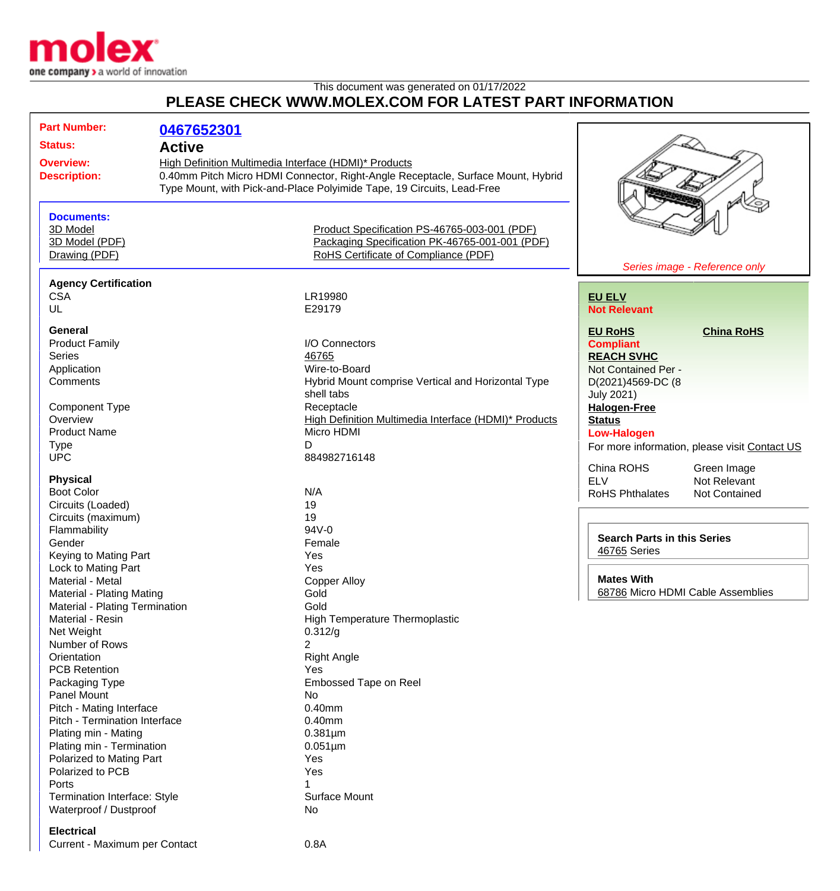

## This document was generated on 01/17/2022 **PLEASE CHECK WWW.MOLEX.COM FOR LATEST PART INFORMATION**

| <b>Part Number:</b>                  | 0467652301                                                                       |                                                                        |                                                    |                                               |
|--------------------------------------|----------------------------------------------------------------------------------|------------------------------------------------------------------------|----------------------------------------------------|-----------------------------------------------|
| <b>Status:</b><br><b>Active</b>      |                                                                                  |                                                                        |                                                    |                                               |
| <b>Overview:</b>                     | High Definition Multimedia Interface (HDMI)* Products                            |                                                                        |                                                    |                                               |
| <b>Description:</b>                  | 0.40mm Pitch Micro HDMI Connector, Right-Angle Receptacle, Surface Mount, Hybrid |                                                                        |                                                    |                                               |
|                                      |                                                                                  | Type Mount, with Pick-and-Place Polyimide Tape, 19 Circuits, Lead-Free |                                                    |                                               |
|                                      |                                                                                  |                                                                        |                                                    |                                               |
|                                      |                                                                                  |                                                                        |                                                    |                                               |
| <b>Documents:</b>                    |                                                                                  |                                                                        |                                                    |                                               |
| 3D Model                             |                                                                                  | Product Specification PS-46765-003-001 (PDF)                           |                                                    |                                               |
| 3D Model (PDF)                       |                                                                                  | Packaging Specification PK-46765-001-001 (PDF)                         |                                                    |                                               |
| Drawing (PDF)                        |                                                                                  | RoHS Certificate of Compliance (PDF)                                   |                                                    |                                               |
|                                      |                                                                                  |                                                                        |                                                    | Series image - Reference only                 |
| <b>Agency Certification</b>          |                                                                                  |                                                                        |                                                    |                                               |
| <b>CSA</b>                           |                                                                                  | LR19980                                                                | <b>EU ELV</b>                                      |                                               |
| UL                                   |                                                                                  | E29179                                                                 | <b>Not Relevant</b>                                |                                               |
|                                      |                                                                                  |                                                                        |                                                    |                                               |
| General                              |                                                                                  |                                                                        | <b>EU RoHS</b>                                     | <b>China RoHS</b>                             |
| <b>Product Family</b>                |                                                                                  | I/O Connectors                                                         | <b>Compliant</b>                                   |                                               |
| <b>Series</b>                        |                                                                                  | 46765                                                                  | <b>REACH SVHC</b>                                  |                                               |
| Application                          |                                                                                  | Wire-to-Board                                                          | Not Contained Per -                                |                                               |
| Comments                             |                                                                                  | Hybrid Mount comprise Vertical and Horizontal Type                     | D(2021)4569-DC (8                                  |                                               |
|                                      |                                                                                  | shell tabs                                                             | <b>July 2021)</b>                                  |                                               |
| <b>Component Type</b>                |                                                                                  | Receptacle                                                             | <b>Halogen-Free</b>                                |                                               |
| Overview                             |                                                                                  | High Definition Multimedia Interface (HDMI)* Products                  | <b>Status</b>                                      |                                               |
| <b>Product Name</b>                  |                                                                                  | Micro HDMI                                                             | <b>Low-Halogen</b>                                 |                                               |
| <b>Type</b>                          |                                                                                  | D                                                                      |                                                    | For more information, please visit Contact US |
| <b>UPC</b>                           |                                                                                  | 884982716148                                                           |                                                    |                                               |
|                                      |                                                                                  |                                                                        | China ROHS                                         | Green Image                                   |
| <b>Physical</b><br><b>Boot Color</b> |                                                                                  | N/A                                                                    | <b>ELV</b>                                         | Not Relevant                                  |
|                                      |                                                                                  | 19                                                                     | <b>RoHS Phthalates</b>                             | Not Contained                                 |
| Circuits (Loaded)                    |                                                                                  | 19                                                                     |                                                    |                                               |
| Circuits (maximum)                   |                                                                                  | 94V-0                                                                  |                                                    |                                               |
| Flammability                         |                                                                                  |                                                                        | <b>Search Parts in this Series</b><br>46765 Series |                                               |
| Gender                               |                                                                                  | Female                                                                 |                                                    |                                               |
| Keying to Mating Part                |                                                                                  | Yes                                                                    |                                                    |                                               |
| Lock to Mating Part                  |                                                                                  | Yes                                                                    | <b>Mates With</b>                                  |                                               |
| Material - Metal                     |                                                                                  | <b>Copper Alloy</b>                                                    | 68786 Micro HDMI Cable Assemblies                  |                                               |
| Material - Plating Mating            |                                                                                  | Gold                                                                   |                                                    |                                               |
| Material - Plating Termination       |                                                                                  | Gold                                                                   |                                                    |                                               |
| Material - Resin<br>Net Weight       |                                                                                  | High Temperature Thermoplastic                                         |                                                    |                                               |
|                                      |                                                                                  | 0.312/g                                                                |                                                    |                                               |
| Number of Rows<br>Orientation        |                                                                                  | $\overline{2}$                                                         |                                                    |                                               |
| <b>PCB Retention</b>                 |                                                                                  | <b>Right Angle</b>                                                     |                                                    |                                               |
|                                      |                                                                                  | Yes                                                                    |                                                    |                                               |
| Packaging Type                       |                                                                                  | Embossed Tape on Reel                                                  |                                                    |                                               |
| Panel Mount                          |                                                                                  | No                                                                     |                                                    |                                               |
| Pitch - Mating Interface             |                                                                                  | 0.40mm                                                                 |                                                    |                                               |
| Pitch - Termination Interface        |                                                                                  | $0.40$ mm                                                              |                                                    |                                               |
| Plating min - Mating                 |                                                                                  | $0.381 \mu m$                                                          |                                                    |                                               |
| Plating min - Termination            |                                                                                  | $0.051 \mu m$                                                          |                                                    |                                               |
| Polarized to Mating Part             |                                                                                  | Yes                                                                    |                                                    |                                               |
| Polarized to PCB                     |                                                                                  | Yes                                                                    |                                                    |                                               |
| Ports                                |                                                                                  |                                                                        |                                                    |                                               |
| Termination Interface: Style         |                                                                                  | Surface Mount                                                          |                                                    |                                               |
| Waterproof / Dustproof               |                                                                                  | No                                                                     |                                                    |                                               |
| <b>Electrical</b>                    |                                                                                  |                                                                        |                                                    |                                               |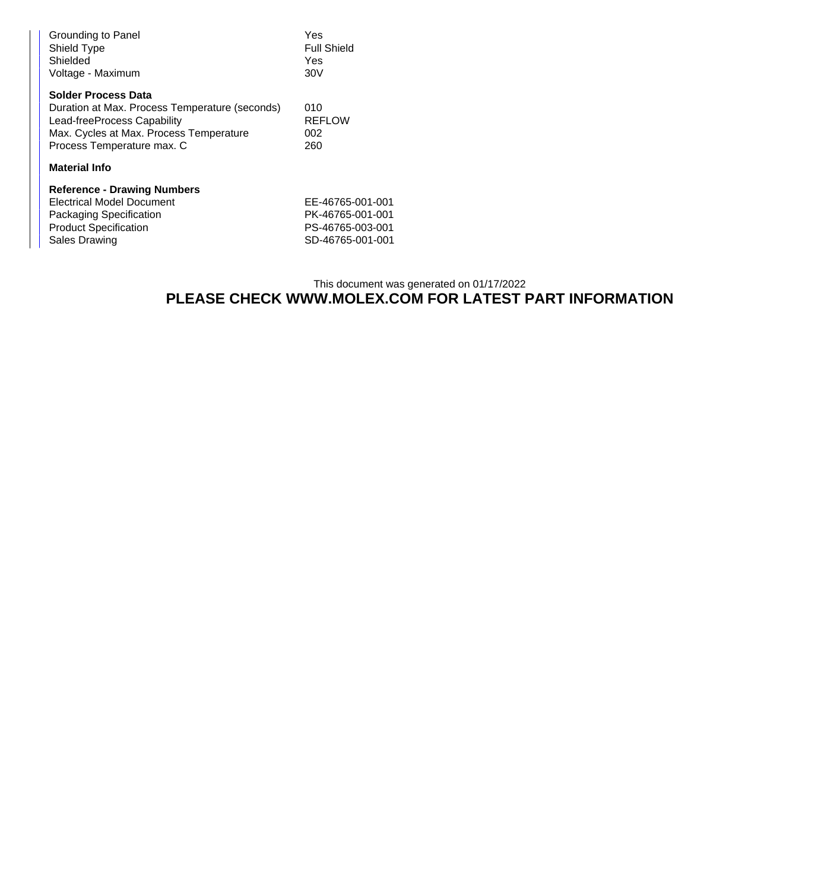| Grounding to Panel<br>Shield Type<br>Shielded<br>Voltage - Maximum                                                                                                            | Yes<br><b>Full Shield</b><br>Yes<br>30V |  |
|-------------------------------------------------------------------------------------------------------------------------------------------------------------------------------|-----------------------------------------|--|
| Solder Process Data<br>Duration at Max. Process Temperature (seconds)<br>Lead-freeProcess Capability<br>Max. Cycles at Max. Process Temperature<br>Process Temperature max. C | 010<br><b>REFLOW</b><br>002<br>260      |  |
| <b>Material Info</b>                                                                                                                                                          |                                         |  |
| <b>Reference - Drawing Numbers</b>                                                                                                                                            |                                         |  |
| Electrical Model Document                                                                                                                                                     | EE-46765-001-001                        |  |
| Packaging Specification                                                                                                                                                       | PK-46765-001-001                        |  |
| <b>Product Specification</b>                                                                                                                                                  | PS-46765-003-001                        |  |
| Sales Drawing                                                                                                                                                                 | SD-46765-001-001                        |  |

## This document was generated on 01/17/2022 **PLEASE CHECK WWW.MOLEX.COM FOR LATEST PART INFORMATION**